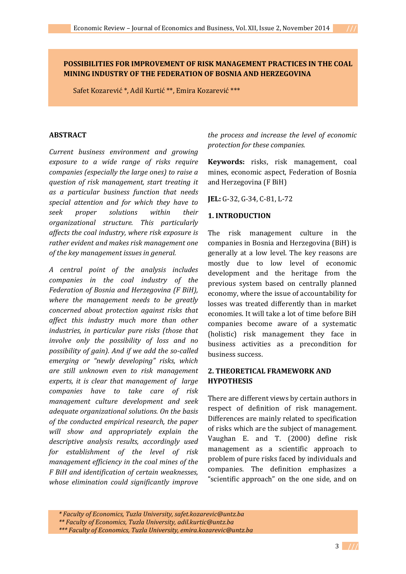# **POSSIBILITIES FOR IMPROVEMENT OF RISK MANAGEMENT PRACTICES IN THE COAL MINING INDUSTRY OF THE FEDERATION OF BOSNIA AND HERZEGOVINA**

Safet Kozarević \*, Adil Kurtić \*\*, Emira Kozarević \*\*\*

### **ABSTRACT**

*Current business environment and growing exposure to a wide range of risks require companies (especially the large ones) to raise a question of risk management, start treating it as a particular business function that needs special attention and for which they have to seek proper solutions within their organizational structure. This particularly affects the coal industry, where risk exposure is rather evident and makes risk management one of the key management issues in general.* 

*A central point of the analysis includes companies in the coal industry of the Federation of Bosnia and Herzegovina (F BiH), where the management needs to be greatly concerned about protection against risks that affect this industry much more than other industries, in particular pure risks (those that involve only the possibility of loss and no possibility of gain). And if we add the so-called emerging or "newly developing" risks, which are still unknown even to risk management experts, it is clear that management of large companies have to take care of risk management culture development and seek adequate organizational solutions. On the basis of the conducted empirical research, the paper will show and appropriately explain the descriptive analysis results, accordingly used for establishment of the level of risk management efficiency in the coal mines of the F BiH and identification of certain weaknesses, whose elimination could significantly improve*  *the process and increase the level of economic protection for these companies.*

**Keywords:** risks, risk management, coal mines, economic aspect, Federation of Bosnia and Herzegovina (F BiH)

**JEL:** G-32, G-34, C-81, L-72

### **1. INTRODUCTION**

The risk management culture in the companies in Bosnia and Herzegovina (BiH) is generally at a low level. The key reasons are mostly due to low level of economic development and the heritage from the previous system based on centrally planned economy, where the issue of accountability for losses was treated differently than in market economies. It will take a lot of time before BiH companies become aware of a systematic (holistic) risk management they face in business activities as a precondition for business success.

# **2. THEORETICAL FRAMEWORK AND HYPOTHESIS**

There are different views by certain authors in respect of definition of risk management. Differences are mainly related to specification of risks which are the subject of management. Vaughan E. and T. (2000) define risk management as a scientific approach to problem of pure risks faced by individuals and companies. The definition emphasizes a "scientific approach" on the one side, and on

*<sup>\*</sup> Faculty of Economics, Tuzla University, safet.kozarevic@untz.ba*

*<sup>\*\*</sup> Faculty of Economics, Tuzla University, adil.kurtic@untz.ba*

*<sup>\*\*\*</sup> Faculty of Economics, Tuzla University, emira.kozarevic@untz.ba*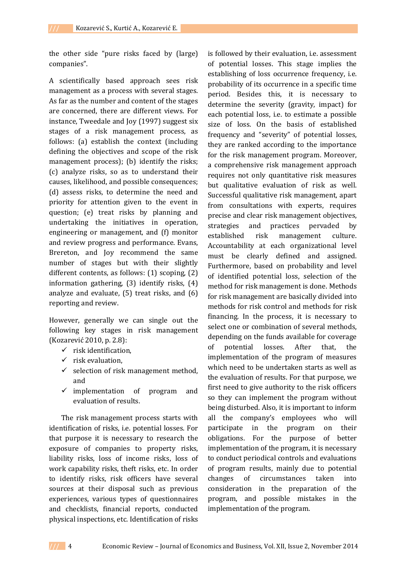the other side "pure risks faced by (large) companies".

A scientifically based approach sees risk management as a process with several stages. As far as the number and content of the stages are concerned, there are different views. For instance, Tweedale and Joy (1997) suggest six stages of a risk management process, as follows: (a) establish the context (including defining the objectives and scope of the risk management process); (b) identify the risks; (c) analyze risks, so as to understand their causes, likelihood, and possible consequences; (d) assess risks, to determine the need and priority for attention given to the event in question; (e) treat risks by planning and undertaking the initiatives in operation, engineering or management, and (f) monitor and review progress and performance. Evans, Brereton, and Joy recommend the same number of stages but with their slightly different contents, as follows: (1) scoping, (2) information gathering, (3) identify risks, (4) analyze and evaluate, (5) treat risks, and (6) reporting and review.

However, generally we can single out the following key stages in risk management (Kozarević 2010, p. 2.8):

- $\checkmark$  risk identification.
- $\checkmark$  risk evaluation,
- $\checkmark$  selection of risk management method, and
- $\checkmark$  implementation of program and evaluation of results.

The risk management process starts with identification of risks, i.e. potential losses. For that purpose it is necessary to research the exposure of companies to property risks, liability risks, loss of income risks, loss of work capability risks, theft risks, etc. In order to identify risks, risk officers have several sources at their disposal such as previous experiences, various types of questionnaires and checklists, financial reports, conducted physical inspections, etc. Identification of risks

is followed by their evaluation, i.e. assessment of potential losses. This stage implies the establishing of loss occurrence frequency, i.e. probability of its occurrence in a specific time period. Besides this, it is necessary to determine the severity (gravity, impact) for each potential loss, i.e. to estimate a possible size of loss. On the basis of established frequency and "severity" of potential losses, they are ranked according to the importance for the risk management program. Moreover, a comprehensive risk management approach requires not only quantitative risk measures but qualitative evaluation of risk as well. Successful qualitative risk management, apart from consultations with experts, requires precise and clear risk management objectives, strategies and practices pervaded by established risk management culture. Accountability at each organizational level must be clearly defined and assigned. Furthermore, based on probability and level of identified potential loss, selection of the method for risk management is done. Methods for risk management are basically divided into methods for risk control and methods for risk financing. In the process, it is necessary to select one or combination of several methods, depending on the funds available for coverage of potential losses. After that, the implementation of the program of measures which need to be undertaken starts as well as the evaluation of results. For that purpose, we first need to give authority to the risk officers so they can implement the program without being disturbed. Also, it is important to inform all the company's employees who will participate in the program on their obligations. For the purpose of better implementation of the program, it is necessary to conduct periodical controls and evaluations of program results, mainly due to potential changes of circumstances taken into consideration in the preparation of the program, and possible mistakes in the implementation of the program.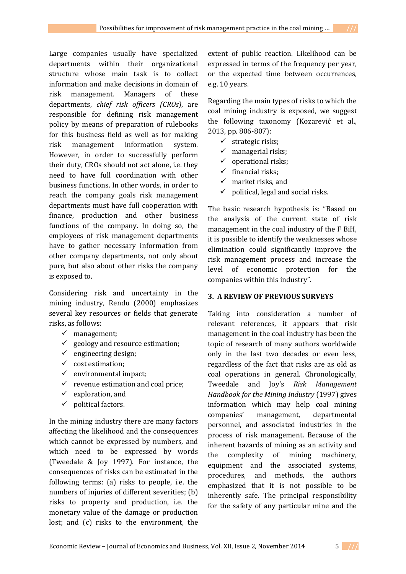Large companies usually have specialized departments within their organizational structure whose main task is to collect information and make decisions in domain of risk management. Managers of these departments, *chief risk officers (CROs)*, are responsible for defining risk management policy by means of preparation of rulebooks for this business field as well as for making risk management information system. However, in order to successfully perform their duty, CROs should not act alone, i.e. they need to have full coordination with other business functions. In other words, in order to reach the company goals risk management departments must have full cooperation with finance, production and other business functions of the company. In doing so, the employees of risk management departments have to gather necessary information from other company departments, not only about pure, but also about other risks the company is exposed to.

Considering risk and uncertainty in the mining industry, Rendu (2000) emphasizes several key resources or fields that generate risks, as follows:

- $\checkmark$  management:
- $\checkmark$  geology and resource estimation;
- $\checkmark$  engineering design;
- $\checkmark$  cost estimation;
- $\checkmark$  environmental impact;
- $\checkmark$  revenue estimation and coal price;
- $\checkmark$  exploration, and
- $\checkmark$  political factors.

In the mining industry there are many factors affecting the likelihood and the consequences which cannot be expressed by numbers, and which need to be expressed by words (Tweedale & Joy 1997). For instance, the consequences of risks can be estimated in the following terms: (a) risks to people, i.e. the numbers of injuries of different severities; (b) risks to property and production, i.e. the monetary value of the damage or production lost; and (c) risks to the environment, the

extent of public reaction. Likelihood can be expressed in terms of the frequency per year, or the expected time between occurrences, e.g. 10 years.

Regarding the main types of risks to which the coal mining industry is exposed, we suggest the following taxonomy (Kozarević et al., 2013, pp. 806-807):

- $\checkmark$  strategic risks;
- $\checkmark$  managerial risks;
- $\checkmark$  operational risks;
- $\checkmark$  financial risks;
- $\checkmark$  market risks, and
- $\checkmark$  political, legal and social risks.

The basic research hypothesis is: "Based on the analysis of the current state of risk management in the coal industry of the F BiH, it is possible to identify the weaknesses whose elimination could significantly improve the risk management process and increase the level of economic protection for the companies within this industry".

# **3. A REVIEW OF PREVIOUS SURVEYS**

Taking into consideration a number of relevant references, it appears that risk management in the coal industry has been the topic of research of many authors worldwide only in the last two decades or even less, regardless of the fact that risks are as old as coal operations in general. Chronologically, Tweedale and Joy's *Risk Management Handbook for the Mining Industry* (1997) gives information which may help coal mining companies' management, departmental personnel, and associated industries in the process of risk management. Because of the inherent hazards of mining as an activity and the complexity of mining machinery, equipment and the associated systems, procedures, and methods, the authors emphasized that it is not possible to be inherently safe. The principal responsibility for the safety of any particular mine and the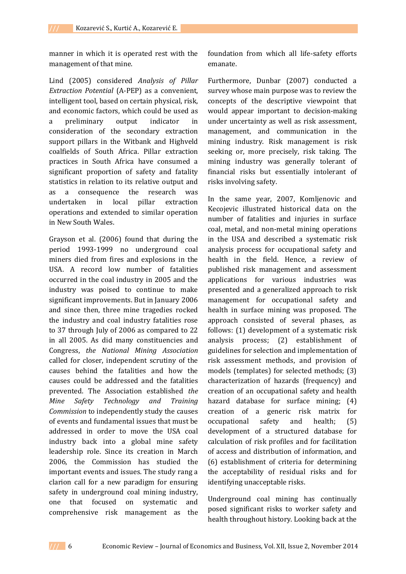manner in which it is operated rest with the management of that mine.

Lind (2005) considered *Analysis of Pillar Extraction Potential* (A-PEP) as a convenient, intelligent tool, based on certain physical, risk, and economic factors, which could be used as a preliminary output indicator in consideration of the secondary extraction support pillars in the Witbank and Highveld coalfields of South Africa. Pillar extraction practices in South Africa have consumed a significant proportion of safety and fatality statistics in relation to its relative output and as a consequence the research was undertaken in local pillar extraction operations and extended to similar operation in New South Wales.

Grayson et al. (2006) found that during the period 1993-1999 no underground coal miners died from fires and explosions in the USA. A record low number of fatalities occurred in the coal industry in 2005 and the industry was poised to continue to make significant improvements. But in January 2006 and since then, three mine tragedies rocked the industry and coal industry fatalities rose to 37 through July of 2006 as compared to 22 in all 2005. As did many constituencies and Congress, *the National Mining Association* called for closer, independent scrutiny of the causes behind the fatalities and how the causes could be addressed and the fatalities prevented. The Association established *the Mine Safety Technology and Training Commission* to independently study the causes of events and fundamental issues that must be addressed in order to move the USA coal industry back into a global mine safety leadership role. Since its creation in March 2006, the Commission has studied the important events and issues. The study rang a clarion call for a new paradigm for ensuring safety in underground coal mining industry, one that focused on systematic and comprehensive risk management as the

foundation from which all life-safety efforts emanate.

Furthermore, Dunbar (2007) conducted a survey whose main purpose was to review the concepts of the descriptive viewpoint that would appear important to decision-making under uncertainty as well as risk assessment, management, and communication in the mining industry. Risk management is risk seeking or, more precisely, risk taking. The mining industry was generally tolerant of financial risks but essentially intolerant of risks involving safety.

In the same year, 2007, Komljenovic and Kecojevic illustrated historical data on the number of fatalities and injuries in surface coal, metal, and non-metal mining operations in the USA and described a systematic risk analysis process for occupational safety and health in the field. Hence, a review of published risk management and assessment applications for various industries was presented and a generalized approach to risk management for occupational safety and health in surface mining was proposed. The approach consisted of several phases, as follows: (1) development of a systematic risk analysis process; (2) establishment of guidelines for selection and implementation of risk assessment methods, and provision of models (templates) for selected methods; (3) characterization of hazards (frequency) and creation of an occupational safety and health hazard database for surface mining; (4) creation of a generic risk matrix for occupational safety and health; (5) development of a structured database for calculation of risk profiles and for facilitation of access and distribution of information, and (6) establishment of criteria for determining the acceptability of residual risks and for identifying unacceptable risks.

Underground coal mining has continually posed significant risks to worker safety and health throughout history. Looking back at the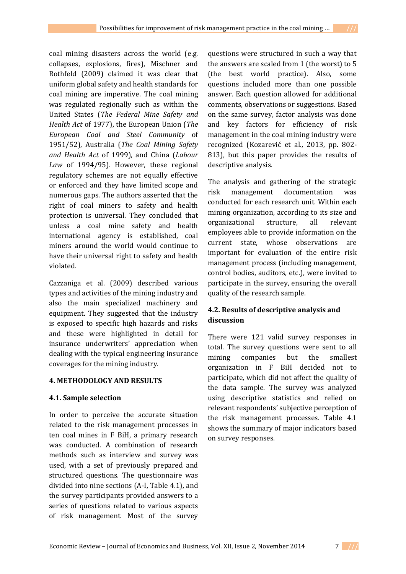coal mining disasters across the world (e.g. collapses, explosions, fires), Mischner and Rothfeld (2009) claimed it was clear that uniform global safety and health standards for coal mining are imperative. The coal mining was regulated regionally such as within the United States (*The Federal Mine Safety and Health Act* of 1977), the European Union (*The European Coal and Steel Community* of 1951/52), Australia (*The Coal Mining Safety and Health Act* of 1999), and China (*Labour Law* of 1994/95). However, these regional regulatory schemes are not equally effective or enforced and they have limited scope and numerous gaps. The authors asserted that the right of coal miners to safety and health protection is universal. They concluded that unless a coal mine safety and health international agency is established, coal miners around the world would continue to have their universal right to safety and health violated.

Cazzaniga et al. (2009) described various types and activities of the mining industry and also the main specialized machinery and equipment. They suggested that the industry is exposed to specific high hazards and risks and these were highlighted in detail for insurance underwriters' appreciation when dealing with the typical engineering insurance coverages for the mining industry.

## **4. METHODOLOGY AND RESULTS**

## **4.1. Sample selection**

In order to perceive the accurate situation related to the risk management processes in ten coal mines in F BiH, a primary research was conducted. A combination of research methods such as interview and survey was used, with a set of previously prepared and structured questions. The questionnaire was divided into nine sections (A-I, Table 4.1), and the survey participants provided answers to a series of questions related to various aspects of risk management. Most of the survey

questions were structured in such a way that the answers are scaled from 1 (the worst) to 5 (the best world practice). Also, some questions included more than one possible answer. Each question allowed for additional comments, observations or suggestions. Based on the same survey, factor analysis was done and key factors for efficiency of risk management in the coal mining industry were recognized (Kozarević et al., 2013, pp. 802- 813), but this paper provides the results of descriptive analysis.

The analysis and gathering of the strategic risk management documentation was conducted for each research unit. Within each mining organization, according to its size and organizational structure, all relevant employees able to provide information on the current state, whose observations are important for evaluation of the entire risk management process (including management, control bodies, auditors, etc.), were invited to participate in the survey, ensuring the overall quality of the research sample.

# **4.2. Results of descriptive analysis and discussion**

There were 121 valid survey responses in total. The survey questions were sent to all mining companies but the smallest organization in F BiH decided not to participate, which did not affect the quality of the data sample. The survey was analyzed using descriptive statistics and relied on relevant respondents' subjective perception of the risk management processes. Table 4.1 shows the summary of major indicators based on survey responses.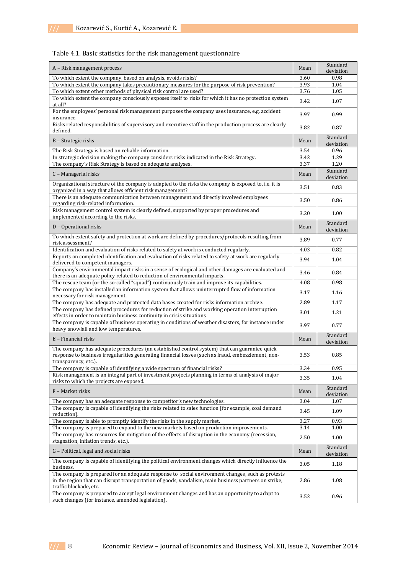## Table 4.1. Basic statistics for the risk management questionnaire

| A - Risk management process                                                                                                                                                                                                        | Mean | Standard<br>deviation |
|------------------------------------------------------------------------------------------------------------------------------------------------------------------------------------------------------------------------------------|------|-----------------------|
| To which extent the company, based on analysis, avoids risks?                                                                                                                                                                      | 3.60 | 0.98                  |
| To which extent the company takes precautionary measures for the purpose of risk prevention?                                                                                                                                       | 3.93 | 1.04                  |
| To which extent other methods of physical risk control are used?                                                                                                                                                                   | 3.76 | 1.05                  |
| To which extent the company consciously exposes itself to risks for which it has no protection system<br>at all?                                                                                                                   | 3.42 | 1.07                  |
| For the employees' personal risk management purposes the company uses insurance, e.g. accident<br>insurance.                                                                                                                       | 3.97 | 0.99                  |
| Risks related responsibilities of supervisory and executive staff in the production process are clearly<br>defined.                                                                                                                | 3.82 | 0.87                  |
| B - Strategic risks                                                                                                                                                                                                                | Mean | Standard<br>deviation |
| The Risk Strategy is based on reliable information.                                                                                                                                                                                | 3.54 | 0.96                  |
| In strategic decision making the company considers risks indicated in the Risk Strategy.                                                                                                                                           | 3.42 | 1.29                  |
| The company's Risk Strategy is based on adequate analyses.                                                                                                                                                                         | 3.37 | 1.20                  |
| C - Managerial risks                                                                                                                                                                                                               | Mean | Standard<br>deviation |
| Organizational structure of the company is adapted to the risks the company is exposed to, i.e. it is<br>organized in a way that allows efficient risk management?                                                                 | 3.51 | 0.83                  |
| There is an adequate communication between management and directly involved employees<br>regarding risk-related information.                                                                                                       | 3.50 | 0.86                  |
| Risk management control system is clearly defined, supported by proper procedures and<br>implemented according to the risks.                                                                                                       | 3.20 | 1.00                  |
| D - Operational risks                                                                                                                                                                                                              | Mean | Standard<br>deviation |
| To which extent safety and protection at work are defined by procedures/protocols resulting from<br>risk assessment?                                                                                                               | 3.89 | 0.77                  |
| Identification and evaluation of risks related to safety at work is conducted regularly.                                                                                                                                           | 4.03 | 0.82                  |
| Reports on completed identification and evaluation of risks related to safety at work are regularly<br>delivered to competent managers.                                                                                            | 3.94 | 1.04                  |
| Company's environmental impact risks in a sense of ecological and other damages are evaluated and<br>there is an adequate policy related to reduction of environmental impacts.                                                    | 3.46 | 0.84                  |
| The rescue team (or the so-called "squad") continuously train and improve its capabilities.                                                                                                                                        | 4.08 | 0.98                  |
| The company has installed an information system that allows uninterrupted flow of information<br>necessary for risk management.                                                                                                    | 3.17 | 1.16                  |
| The company has adequate and protected data bases created for risks information archive.                                                                                                                                           | 2.89 | 1.17                  |
| The company has defined procedures for reduction of strike and working operation interruption<br>effects in order to maintain business continuity in crisis situations                                                             | 3.01 | 1.21                  |
| The company is capable of business operating in conditions of weather disasters, for instance under<br>heavy snowfall and low temperatures.                                                                                        | 3.97 | 0.77                  |
| E - Financial risks                                                                                                                                                                                                                | Mean | Standard<br>deviation |
| The company has adequate procedures (an established control system) that can guarantee quick<br>response to business irregularities generating financial losses (such as fraud, embezzlement, non-<br>transparency, etc.).         | 3.53 | 0.85                  |
| The company is capable of identifying a wide spectrum of financial risks?                                                                                                                                                          | 3.34 | 0.95                  |
| Risk management is an integral part of investment projects planning in terms of analysis of major<br>risks to which the projects are exposed.                                                                                      | 3.35 | 1.04                  |
| F - Market risks                                                                                                                                                                                                                   | Mean | Standard<br>deviation |
| The company has an adequate response to competitor's new technologies.                                                                                                                                                             | 3.04 | 1.07                  |
| The company is capable of identifying the risks related to sales function (for example, coal demand<br>reduction).                                                                                                                 | 3.45 | 1.09                  |
| The company is able to promptly identify the risks in the supply market.                                                                                                                                                           | 3.27 | 0.93                  |
| The company is prepared to expand to the new markets based on production improvements.                                                                                                                                             | 3.14 | 1.00                  |
| The company has resources for mitigation of the effects of disruption in the economy (recession,<br>stagnation, inflation trends, etc.).                                                                                           | 2.50 | 1.00                  |
| G - Political, legal and social risks                                                                                                                                                                                              | Mean | Standard<br>deviation |
| The company is capable of identifying the political environment changes which directly influence the<br>business.                                                                                                                  | 3.05 | 1.18                  |
| The company is prepared for an adequate response to social environment changes, such as protests<br>in the region that can disrupt transportation of goods, vandalism, main business partners on strike,<br>traffic blockade, etc. | 2.86 | 1.08                  |
| The company is prepared to accept legal environment changes and has an opportunity to adapt to<br>such changes (for instance, amended legislation).                                                                                | 3.52 | 0.96                  |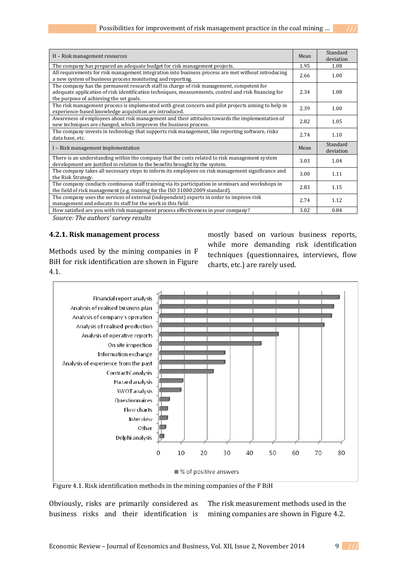| H – Risk management resources                                                                                                                                                                                                               | Mean | Standard<br>deviation |
|---------------------------------------------------------------------------------------------------------------------------------------------------------------------------------------------------------------------------------------------|------|-----------------------|
| The company has prepared an adequate budget for risk management projects.                                                                                                                                                                   | 1.95 | 1.08                  |
| All requirements for risk management integration into business process are met without introducing<br>a new system of business process monitoring and reporting.                                                                            | 2.66 | 1.00                  |
| The company has the permanent research staff in charge of risk management, competent for<br>adequate application of risk identification techniques, measurements, control and risk financing for<br>the purpose of achieving the set goals. | 2.34 | 1.08                  |
| The risk management process is implemented with great concern and pilot projects aiming to help in<br>experience-based knowledge acquisition are introduced.                                                                                | 2.39 | 1.00                  |
| Awareness of employees about risk management and their attitudes towards the implementation of<br>new techniques are changed, which improves the business process.                                                                          | 2.82 | 1.05                  |
| The company invests in technology that supports risk management, like reporting software, risks<br>data base, etc.                                                                                                                          | 2.74 | 1.10                  |
| I – Risk management implementation                                                                                                                                                                                                          | Mean | Standard<br>deviation |
| There is an understanding within the company that the costs related to risk management system<br>development are justified in relation to the benefits brought by the system.                                                               | 3.03 | 1.04                  |
| The company takes all necessary steps to inform its employees on risk management significance and<br>the Risk Strategy.                                                                                                                     | 3.00 | 1.11                  |
| The company conducts continuous staff training via its participation in seminars and workshops in<br>the field of risk management (e.g. training for the ISO 31000:2009 standard).                                                          | 2.83 | 1.15                  |
| The company uses the services of external (independent) experts in order to improve risk<br>management and educate its staff for the work in this field.                                                                                    | 2.74 | 1.12                  |
| How satisfied are you with risk management process effectiveness in your company?                                                                                                                                                           | 3.02 | 0.84                  |

*Source: The authors' survey results*

## **4.2.1. Risk management process**

Methods used by the mining companies in F BiH for risk identification are shown in Figure 4.1.

mostly based on various business reports, while more demanding risk identification techniques (questionnaires, interviews, flow charts, etc.) are rarely used.



Figure 4.1. Risk identification methods in the mining companies of the F BiH

Obviously, risks are primarily considered as business risks and their identification is

The risk measurement methods used in the mining companies are shown in Figure 4.2.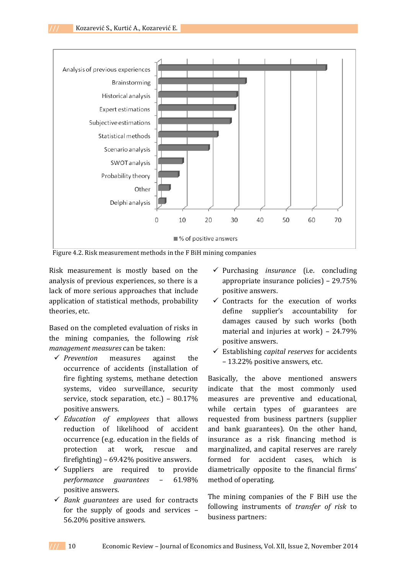

Figure 4.2. Risk measurement methods in the F BiH mining companies

Risk measurement is mostly based on the analysis of previous experiences, so there is a lack of more serious approaches that include application of statistical methods, probability theories, etc.

Based on the completed evaluation of risks in the mining companies, the following *risk management measures* can be taken:

- *Prevention* measures against the occurrence of accidents (installation of fire fighting systems, methane detection systems, video surveillance, security service, stock separation, etc.) – 80.17% positive answers.
- *Education of employees* that allows reduction of likelihood of accident occurrence (e.g. education in the fields of protection at work, rescue and firefighting) – 69.42% positive answers.
- $\checkmark$  Suppliers are required to provide *performance guarantees* – 61.98% positive answers.
- *Bank guarantees* are used for contracts for the supply of goods and services – 56.20% positive answers.
- Purchasing *insurance* (i.e. concluding appropriate insurance policies) – 29.75% positive answers.
- $\checkmark$  Contracts for the execution of works define supplier's accountability for damages caused by such works (both material and injuries at work) – 24.79% positive answers.
- Establishing *capital reserves* for accidents – 13.22% positive answers, etc.

Basically, the above mentioned answers indicate that the most commonly used measures are preventive and educational, while certain types of guarantees are requested from business partners (supplier and bank guarantees). On the other hand, insurance as a risk financing method is marginalized, and capital reserves are rarely formed for accident cases, which is diametrically opposite to the financial firms' method of operating.

The mining companies of the F BiH use the following instruments of *transfer of risk* to business partners: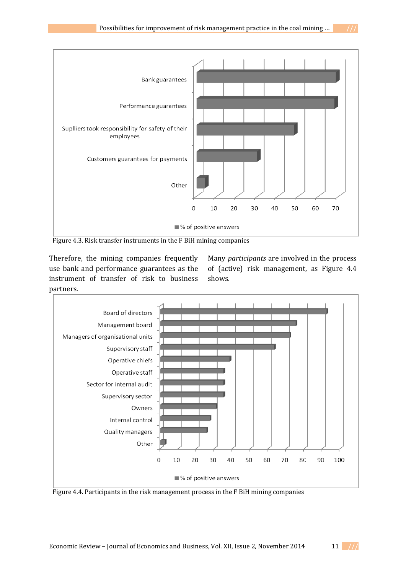

Figure 4.3. Risk transfer instruments in the F BiH mining companies

Therefore, the mining companies frequently use bank and performance guarantees as the instrument of transfer of risk to business partners.

Many *participants* are involved in the process of (active) risk management, as Figure 4.4 shows.



Figure 4.4. Participants in the risk management process in the F BiH mining companies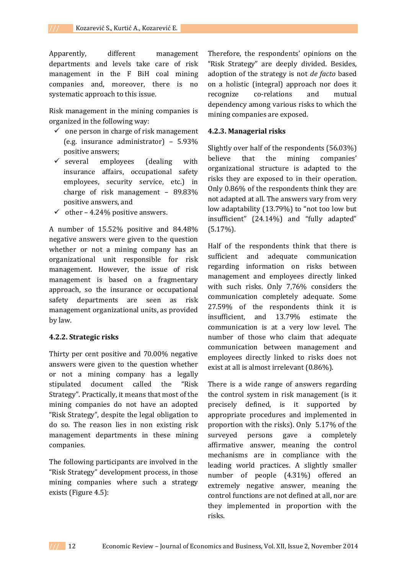Apparently, different management departments and levels take care of risk management in the F BiH coal mining companies and, moreover, there is no systematic approach to this issue.

Risk management in the mining companies is organized in the following way:

- $\checkmark$  one person in charge of risk management (e.g. insurance administrator) – 5.93% positive answers;
- $\checkmark$  several employees (dealing with insurance affairs, occupational safety employees, security service, etc.) in charge of risk management – 89.83% positive answers, and
- $\checkmark$  other 4.24% positive answers.

A number of 15.52% positive and 84.48% negative answers were given to the question whether or not a mining company has an organizational unit responsible for risk management. However, the issue of risk management is based on a fragmentary approach, so the insurance or occupational safety departments are seen as risk management organizational units, as provided by law.

#### **4.2.2. Strategic risks**

Thirty per cent positive and 70.00% negative answers were given to the question whether or not a mining company has a legally stipulated document called the "Risk Strategy". Practically, it means that most of the mining companies do not have an adopted "Risk Strategy", despite the legal obligation to do so. The reason lies in non existing risk management departments in these mining companies.

The following participants are involved in the "Risk Strategy" development process, in those mining companies where such a strategy exists (Figure 4.5):

Therefore, the respondents' opinions on the "Risk Strategy" are deeply divided. Besides, adoption of the strategy is not *de facto* based on a holistic (integral) approach nor does it recognize co-relations and mutual dependency among various risks to which the mining companies are exposed.

#### **4.2.3. Managerial risks**

Slightly over half of the respondents (56.03%) believe that the mining companies' organizational structure is adapted to the risks they are exposed to in their operation. Only 0.86% of the respondents think they are not adapted at all. The answers vary from very low adaptability (13.79%) to "not too low but insufficient" (24.14%) and "fully adapted"  $(5.17\%)$ .

Half of the respondents think that there is sufficient and adequate communication regarding information on risks between management and employees directly linked with such risks. Only 7,76% considers the communication completely adequate. Some 27.59% of the respondents think it is insufficient, and 13.79% estimate the communication is at a very low level. The number of those who claim that adequate communication between management and employees directly linked to risks does not exist at all is almost irrelevant (0.86%).

There is a wide range of answers regarding the control system in risk management (is it precisely defined, is it supported by appropriate procedures and implemented in proportion with the risks). Only 5.17% of the surveyed persons gave a completely affirmative answer, meaning the control mechanisms are in compliance with the leading world practices. A slightly smaller number of people (4.31%) offered an extremely negative answer, meaning the control functions are not defined at all, nor are they implemented in proportion with the risks.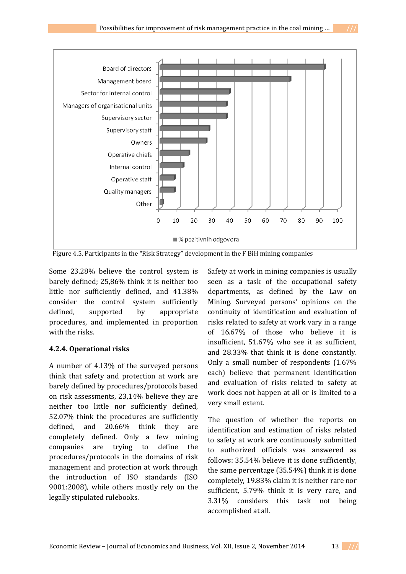

Figure 4.5. Participants in the "Risk Strategy" development in the F BiH mining companies

Some 23.28% believe the control system is barely defined; 25,86% think it is neither too little nor sufficiently defined, and 41.38% consider the control system sufficiently defined, supported by appropriate procedures, and implemented in proportion with the risks.

# **4.2.4. Operational risks**

A number of 4.13% of the surveyed persons think that safety and protection at work are barely defined by procedures/protocols based on risk assessments, 23,14% believe they are neither too little nor sufficiently defined, 52.07% think the procedures are sufficiently defined, and 20.66% think they are completely defined. Only a few mining companies are trying to define the procedures/protocols in the domains of risk management and protection at work through the introduction of ISO standards (ISO 9001:2008), while others mostly rely on the legally stipulated rulebooks.

Safety at work in mining companies is usually seen as a task of the occupational safety departments, as defined by the Law on Mining. Surveyed persons' opinions on the continuity of identification and evaluation of risks related to safety at work vary in a range of 16.67% of those who believe it is insufficient, 51.67% who see it as sufficient, and 28.33% that think it is done constantly. Only a small number of respondents (1.67% each) believe that permanent identification and evaluation of risks related to safety at work does not happen at all or is limited to a very small extent.

The question of whether the reports on identification and estimation of risks related to safety at work are continuously submitted to authorized officials was answered as follows: 35.54% believe it is done sufficiently, the same percentage (35.54%) think it is done completely, 19.83% claim it is neither rare nor sufficient, 5.79% think it is very rare, and 3.31% considers this task not being accomplished at all.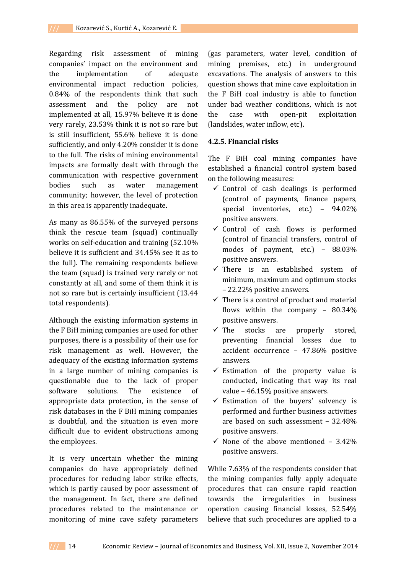Regarding risk assessment of mining companies' impact on the environment and the implementation of adequate environmental impact reduction policies, 0.84% of the respondents think that such assessment and the policy are not implemented at all, 15.97% believe it is done very rarely, 23.53% think it is not so rare but is still insufficient, 55.6% believe it is done sufficiently, and only 4.20% consider it is done to the full. The risks of mining environmental impacts are formally dealt with through the communication with respective government bodies such as water management community; however, the level of protection in this area is apparently inadequate.

As many as 86.55% of the surveyed persons think the rescue team (squad) continually works on self-education and training (52.10% believe it is sufficient and 34.45% see it as to the full). The remaining respondents believe the team (squad) is trained very rarely or not constantly at all, and some of them think it is not so rare but is certainly insufficient (13.44 total respondents).

Although the existing information systems in the F BiH mining companies are used for other purposes, there is a possibility of their use for risk management as well. However, the adequacy of the existing information systems in a large number of mining companies is questionable due to the lack of proper software solutions. The existence of appropriate data protection, in the sense of risk databases in the F BiH mining companies is doubtful, and the situation is even more difficult due to evident obstructions among the employees.

It is very uncertain whether the mining companies do have appropriately defined procedures for reducing labor strike effects, which is partly caused by poor assessment of the management. In fact, there are defined procedures related to the maintenance or monitoring of mine cave safety parameters

(gas parameters, water level, condition of mining premises, etc.) in underground excavations. The analysis of answers to this question shows that mine cave exploitation in the F BiH coal industry is able to function under bad weather conditions, which is not the case with open-pit exploitation (landslides, water inflow, etc).

## **4.2.5. Financial risks**

The F BiH coal mining companies have established a financial control system based on the following measures:

- $\checkmark$  Control of cash dealings is performed (control of payments, finance papers, special inventories, etc.) – 94.02% positive answers.
- $\checkmark$  Control of cash flows is performed (control of financial transfers, control of modes of payment, etc.) – 88.03% positive answers.
- $\checkmark$  There is an established system of minimum, maximum and optimum stocks – 22.22% positive answers.
- $\checkmark$  There is a control of product and material flows within the company – 80.34% positive answers.
- $\checkmark$  The stocks are properly stored, preventing financial losses due to accident occurrence – 47.86% positive answers.
- $\checkmark$  Estimation of the property value is conducted, indicating that way its real value – 46.15% positive answers.
- $\checkmark$  Estimation of the buyers' solvency is performed and further business activities are based on such assessment – 32.48% positive answers.
- $\checkmark$  None of the above mentioned 3.42% positive answers.

While 7.63% of the respondents consider that the mining companies fully apply adequate procedures that can ensure rapid reaction towards the irregularities in business operation causing financial losses, 52.54% believe that such procedures are applied to a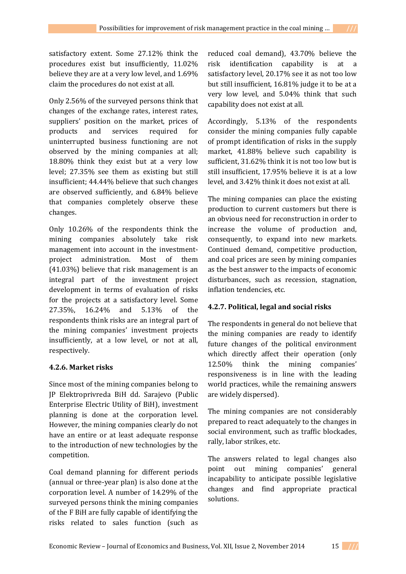satisfactory extent. Some 27.12% think the procedures exist but insufficiently, 11.02% believe they are at a very low level, and 1.69% claim the procedures do not exist at all.

Only 2.56% of the surveyed persons think that changes of the exchange rates, interest rates, suppliers' position on the market, prices of products and services required for uninterrupted business functioning are not observed by the mining companies at all; 18.80% think they exist but at a very low level; 27.35% see them as existing but still insufficient; 44.44% believe that such changes are observed sufficiently, and 6.84% believe that companies completely observe these changes.

Only 10.26% of the respondents think the mining companies absolutely take risk management into account in the investmentproject administration. Most of them (41.03%) believe that risk management is an integral part of the investment project development in terms of evaluation of risks for the projects at a satisfactory level. Some 27.35%, 16.24% and 5.13% of the respondents think risks are an integral part of the mining companies' investment projects insufficiently, at a low level, or not at all, respectively.

# **4.2.6. Market risks**

Since most of the mining companies belong to JP Elektroprivreda BiH dd. Sarajevo (Public Enterprise Electric Utility of BiH), investment planning is done at the corporation level. However, the mining companies clearly do not have an entire or at least adequate response to the introduction of new technologies by the competition.

Coal demand planning for different periods (annual or three-year plan) is also done at the corporation level. A number of 14.29% of the surveyed persons think the mining companies of the F BiH are fully capable of identifying the risks related to sales function (such as

reduced coal demand), 43.70% believe the risk identification capability is at a satisfactory level, 20.17% see it as not too low but still insufficient, 16.81% judge it to be at a very low level, and 5.04% think that such capability does not exist at all.

Accordingly, 5.13% of the respondents consider the mining companies fully capable of prompt identification of risks in the supply market, 41.88% believe such capability is sufficient, 31.62% think it is not too low but is still insufficient, 17.95% believe it is at a low level, and 3.42% think it does not exist at all.

The mining companies can place the existing production to current customers but there is an obvious need for reconstruction in order to increase the volume of production and, consequently, to expand into new markets. Continued demand, competitive production, and coal prices are seen by mining companies as the best answer to the impacts of economic disturbances, such as recession, stagnation, inflation tendencies, etc.

# **4.2.7. Political, legal and social risks**

The respondents in general do not believe that the mining companies are ready to identify future changes of the political environment which directly affect their operation (only 12.50% think the mining companies' responsiveness is in line with the leading world practices, while the remaining answers are widely dispersed).

The mining companies are not considerably prepared to react adequately to the changes in social environment, such as traffic blockades, rally, labor strikes, etc.

The answers related to legal changes also point out mining companies' general incapability to anticipate possible legislative changes and find appropriate practical solutions.

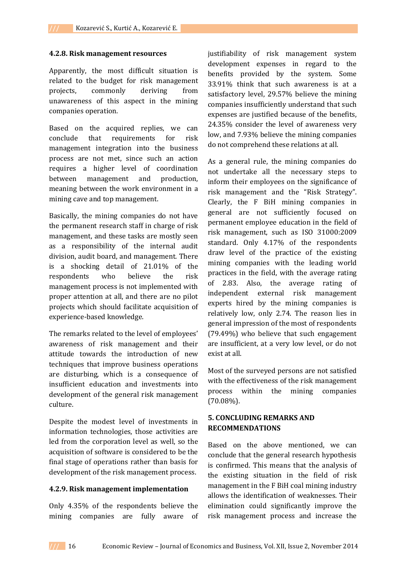## **4.2.8. Risk management resources**

Apparently, the most difficult situation is related to the budget for risk management projects, commonly deriving from unawareness of this aspect in the mining companies operation.

Based on the acquired replies, we can conclude that requirements for risk management integration into the business process are not met, since such an action requires a higher level of coordination between management and production, meaning between the work environment in a mining cave and top management.

Basically, the mining companies do not have the permanent research staff in charge of risk management, and these tasks are mostly seen as a responsibility of the internal audit division, audit board, and management. There is a shocking detail of 21.01% of the respondents who believe the risk management process is not implemented with proper attention at all, and there are no pilot projects which should facilitate acquisition of experience-based knowledge.

The remarks related to the level of employees' awareness of risk management and their attitude towards the introduction of new techniques that improve business operations are disturbing, which is a consequence of insufficient education and investments into development of the general risk management culture.

Despite the modest level of investments in information technologies, those activities are led from the corporation level as well, so the acquisition of software is considered to be the final stage of operations rather than basis for development of the risk management process.

#### **4.2.9. Risk management implementation**

Only 4.35% of the respondents believe the mining companies are fully aware of justifiability of risk management system development expenses in regard to the benefits provided by the system. Some 33.91% think that such awareness is at a satisfactory level, 29.57% believe the mining companies insufficiently understand that such expenses are justified because of the benefits, 24.35% consider the level of awareness very low, and 7.93% believe the mining companies do not comprehend these relations at all.

As a general rule, the mining companies do not undertake all the necessary steps to inform their employees on the significance of risk management and the "Risk Strategy". Clearly, the F BiH mining companies in general are not sufficiently focused on permanent employee education in the field of risk management, such as ISO 31000:2009 standard. Only 4.17% of the respondents draw level of the practice of the existing mining companies with the leading world practices in the field, with the average rating of 2.83. Also, the average rating of independent external risk management experts hired by the mining companies is relatively low, only 2.74. The reason lies in general impression of the most of respondents (79.49%) who believe that such engagement are insufficient, at a very low level, or do not exist at all.

Most of the surveyed persons are not satisfied with the effectiveness of the risk management process within the mining companies  $(70.08\%)$ .

# **5. CONCLUDING REMARKS AND RECOMMENDATIONS**

Based on the above mentioned, we can conclude that the general research hypothesis is confirmed. This means that the analysis of the existing situation in the field of risk management in the F BiH coal mining industry allows the identification of weaknesses. Their elimination could significantly improve the risk management process and increase the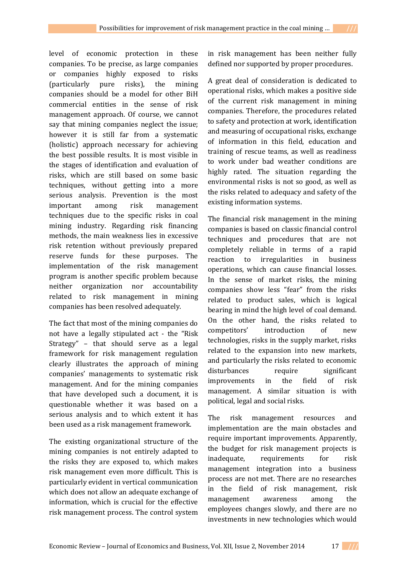level of economic protection in these companies. To be precise, as large companies or companies highly exposed to risks (particularly pure risks), the mining companies should be a model for other BiH commercial entities in the sense of risk management approach. Of course, we cannot say that mining companies neglect the issue; however it is still far from a systematic (holistic) approach necessary for achieving the best possible results. It is most visible in the stages of identification and evaluation of risks, which are still based on some basic techniques, without getting into a more serious analysis. Prevention is the most important among risk management techniques due to the specific risks in coal mining industry. Regarding risk financing

methods, the main weakness lies in excessive risk retention without previously prepared reserve funds for these purposes. The implementation of the risk management program is another specific problem because neither organization nor accountability related to risk management in mining companies has been resolved adequately.

The fact that most of the mining companies do not have a legally stipulated act - the "Risk Strategy" – that should serve as a legal framework for risk management regulation clearly illustrates the approach of mining companies' managements to systematic risk management. And for the mining companies that have developed such a document, it is questionable whether it was based on a serious analysis and to which extent it has been used as a risk management framework.

The existing organizational structure of the mining companies is not entirely adapted to the risks they are exposed to, which makes risk management even more difficult. This is particularly evident in vertical communication which does not allow an adequate exchange of information, which is crucial for the effective risk management process. The control system

in risk management has been neither fully defined nor supported by proper procedures.

A great deal of consideration is dedicated to operational risks, which makes a positive side of the current risk management in mining companies. Therefore, the procedures related to safety and protection at work, identification and measuring of occupational risks, exchange of information in this field, education and training of rescue teams, as well as readiness to work under bad weather conditions are highly rated. The situation regarding the environmental risks is not so good, as well as the risks related to adequacy and safety of the existing information systems.

The financial risk management in the mining companies is based on classic financial control techniques and procedures that are not completely reliable in terms of a rapid reaction to irregularities in business operations, which can cause financial losses. In the sense of market risks, the mining companies show less "fear" from the risks related to product sales, which is logical bearing in mind the high level of coal demand. On the other hand, the risks related to competitors' introduction of new technologies, risks in the supply market, risks related to the expansion into new markets, and particularly the risks related to economic disturbances require significant improvements in the field of risk management. A similar situation is with political, legal and social risks.

The risk management resources and implementation are the main obstacles and require important improvements. Apparently, the budget for risk management projects is inadequate, requirements for risk management integration into a business process are not met. There are no researches in the field of risk management, risk management awareness among the employees changes slowly, and there are no investments in new technologies which would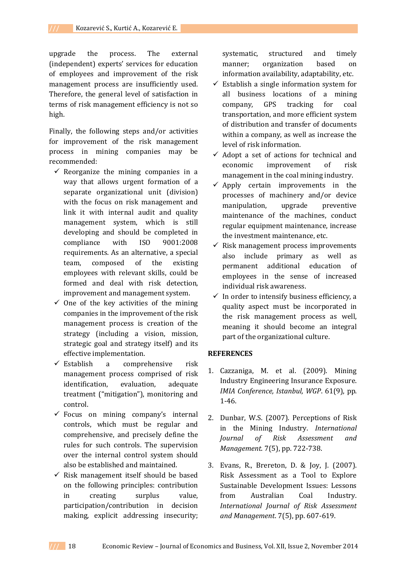upgrade the process. The external (independent) experts' services for education of employees and improvement of the risk management process are insufficiently used. Therefore, the general level of satisfaction in terms of risk management efficiency is not so high.

Finally, the following steps and/or activities for improvement of the risk management process in mining companies may be recommended:

- $\checkmark$  Reorganize the mining companies in a way that allows urgent formation of a separate organizational unit (division) with the focus on risk management and link it with internal audit and quality management system, which is still developing and should be completed in compliance with ISO 9001:2008 requirements. As an alternative, a special team, composed of the existing employees with relevant skills, could be formed and deal with risk detection, improvement and management system.
- $\checkmark$  One of the key activities of the mining companies in the improvement of the risk management process is creation of the strategy (including a vision, mission, strategic goal and strategy itself) and its effective implementation.
- $\checkmark$  Establish a comprehensive risk management process comprised of risk identification, evaluation, adequate treatment ("mitigation"), monitoring and control.
- $\checkmark$  Focus on mining company's internal controls, which must be regular and comprehensive, and precisely define the rules for such controls. The supervision over the internal control system should also be established and maintained.
- $\checkmark$  Risk management itself should be based on the following principles: contribution in creating surplus value, participation/contribution in decision making, explicit addressing insecurity;

systematic, structured and timely manner; organization based on information availability, adaptability, etc.

- $\checkmark$  Establish a single information system for all business locations of a mining company, GPS tracking for coal transportation, and more efficient system of distribution and transfer of documents within a company, as well as increase the level of risk information.
- $\checkmark$  Adopt a set of actions for technical and economic improvement of risk management in the coal mining industry.
- $\checkmark$  Apply certain improvements in the processes of machinery and/or device manipulation, upgrade preventive maintenance of the machines, conduct regular equipment maintenance, increase the investment maintenance, etc.
- $\checkmark$  Risk management process improvements also include primary as well as permanent additional education of employees in the sense of increased individual risk awareness.
- $\checkmark$  In order to intensify business efficiency, a quality aspect must be incorporated in the risk management process as well, meaning it should become an integral part of the organizational culture.

### **REFERENCES**

- 1. Cazzaniga, M. et al. (2009). Mining Industry Engineering Insurance Exposure. *IMIA Conference, Istanbul, WGP*. 61(9), pp. 1-46.
- 2. Dunbar, W.S. (2007). Perceptions of Risk in the Mining Industry. *International Journal of Risk Assessment and Management*. 7(5), pp. 722-738.
- 3. Evans, R., Brereton, D. & Joy, J. (2007). Risk Assessment as a Tool to Explore Sustainable Development Issues: Lessons from Australian Coal Industry. *International Journal of Risk Assessment and Management*. 7(5), pp. 607-619.